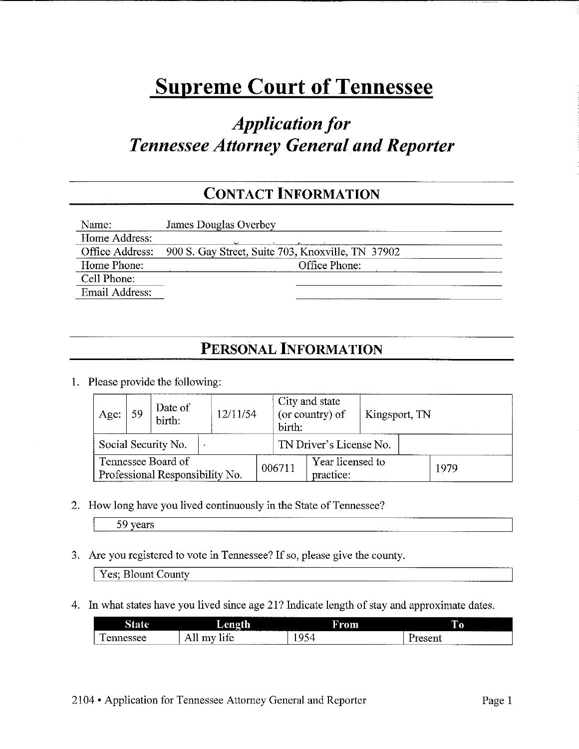# **Supreme Court of Tennessee**

## *Application for Tennessee Attorney General and Reporter*

### **CONTACT INFORMATION**

| Name:          | <b>James Douglas Overbey</b>                                      |
|----------------|-------------------------------------------------------------------|
| Home Address:  |                                                                   |
|                | Office Address: 900 S. Gay Street, Suite 703, Knoxville, TN 37902 |
| Home Phone:    | Office Phone:                                                     |
| Cell Phone:    |                                                                   |
| Email Address: |                                                                   |

### **PERSONAL INFORMATION**

1. Please provide the following:

| Age. | 59 | Date of<br>birth:                                     | 12/11/54 | birth: | City and state<br>(or country) of | Kingsport, TN |      |
|------|----|-------------------------------------------------------|----------|--------|-----------------------------------|---------------|------|
|      |    | Social Security No.                                   |          |        | TN Driver's License No.           |               |      |
|      |    | Tennessee Board of<br>Professional Responsibility No. |          | 006711 | Year licensed to<br>practice:     |               | 1979 |

2. How long have you lived continuously in the State of Tennessee?

| 59. | vears |
|-----|-------|
|-----|-------|

3. Are you registered to vote in Tennessee? If so, please give the county.

Yes; Blount County

4. In what states have you lived since age 21? Indicate length of stay and approximate dates.

| $\sim$<br>. .<br>. |                                                                                     | From | m             |
|--------------------|-------------------------------------------------------------------------------------|------|---------------|
| <b>Annoncoo</b>    | -<br>$\cdot$ $\sim$<br>----<br>----<br>----<br>____________________________________ | ۰∠۱  | <i>Uranan</i> |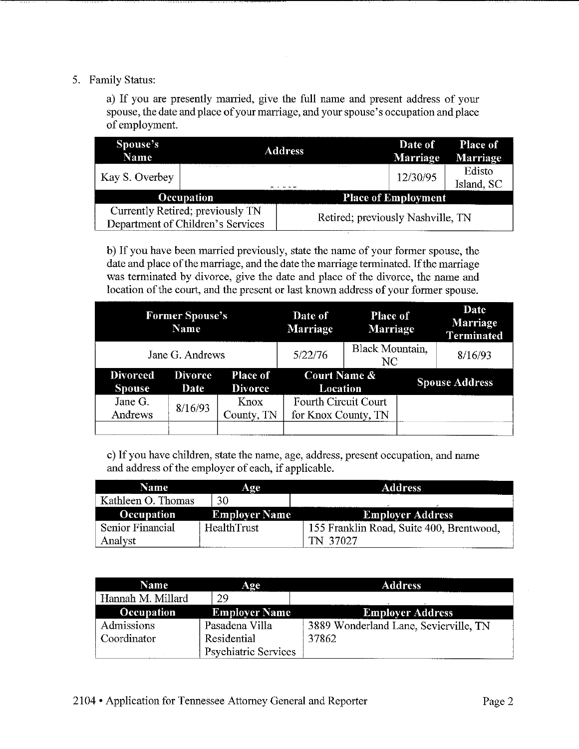#### 5. Family Status:

a) If you are presently married, give the full name and present address of your spouse, the date and place of your marriage, and your spouse's occupation and place of employment.

| Spouse's<br>Name |                                   | <b>Address</b> |                                   | Date of<br><b>Marriage</b> | Place of<br>Marriage |
|------------------|-----------------------------------|----------------|-----------------------------------|----------------------------|----------------------|
| Kay S. Overbey   |                                   |                |                                   | 12/30/95                   | Edisto<br>Island, SC |
|                  | Occupation                        |                |                                   | <b>Place of Employment</b> |                      |
|                  | Currently Retired; previously TN  |                | Retired; previously Nashville, TN |                            |                      |
|                  | Department of Children's Services |                |                                   |                            |                      |

b) If you have been married previously, state the name of your former spouse, the date and place of the marriage, and the date the marriage terminated. If the marriage was terminated by divorce, give the date and place of the divorce, the name and location of the court, and the present or last known address of your former spouse.

|                                  | <b>Former Spouse's</b><br>Name |                                   | Date of<br>Marriage                         | <b>Place of</b><br>Marriage | Date<br>Marriage<br><b>Terminated</b> |
|----------------------------------|--------------------------------|-----------------------------------|---------------------------------------------|-----------------------------|---------------------------------------|
|                                  | Jane G. Andrews                |                                   | 5/22/76                                     | Black Mountain,<br>NC.      | 8/16/93                               |
| <b>Divorced</b><br><b>Spouse</b> | <b>Divorce</b><br>Date         | <b>Place of</b><br><b>Divorce</b> | <b>Court Name &amp;</b><br>Location         |                             | <b>Spouse Address</b>                 |
| Jane G.<br>Andrews               | 8/16/93                        | Knox<br>County, TN                | Fourth Circuit Court<br>for Knox County, TN |                             |                                       |
|                                  |                                |                                   |                                             |                             |                                       |

c) If you have children, state the name, age, address, present occupation, and name and address of the employer of each, if applicable.

| Name               | Аде                  | <b>Address</b>                           |
|--------------------|----------------------|------------------------------------------|
| Kathleen O. Thomas | 30                   |                                          |
| <b>Occupation</b>  | <b>Employer Name</b> | <b>Employer Address</b>                  |
| Senior Financial   | HealthTrust          | 155 Franklin Road, Suite 400, Brentwood, |
| Analyst            |                      | TN 37027                                 |

| <b>Name</b>       | Age                         | <b>Address</b>                        |
|-------------------|-----------------------------|---------------------------------------|
| Hannah M. Millard | 29                          |                                       |
| Occupation        | <b>Employer Name</b>        | <b>Employer Address</b>               |
| Admissions        | Pasadena Villa              | 3889 Wonderland Lane, Sevierville, TN |
| Coordinator       | Residential                 | 37862                                 |
|                   | <b>Psychiatric Services</b> |                                       |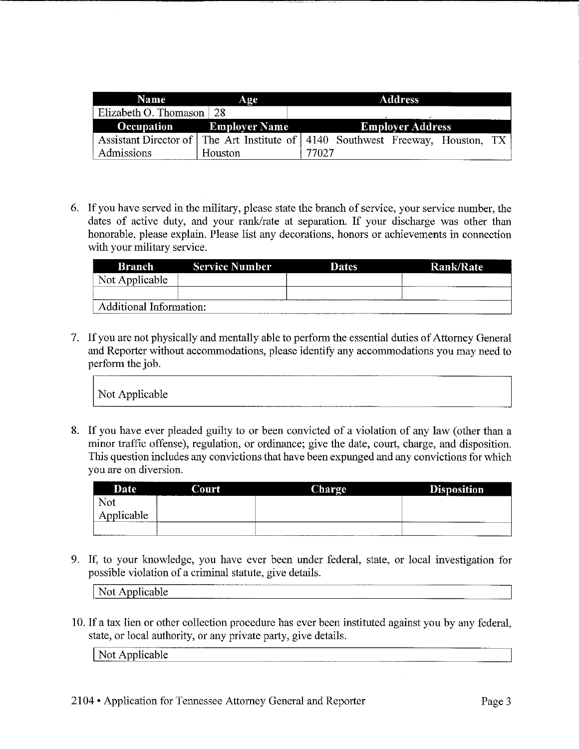| <b>Name</b>                      | Age                             | <b>Address</b>                                                                 |
|----------------------------------|---------------------------------|--------------------------------------------------------------------------------|
| Elizabeth O. Thomason $\vert$ 28 |                                 |                                                                                |
|                                  | <b>Occupation</b> Employer Name | <b>Employer Address</b>                                                        |
|                                  |                                 | Assistant Director of The Art Institute of 4140 Southwest Freeway, Houston, TX |
| Admissions                       | Houston                         | 77027                                                                          |

6. If you have served in the military, please state the branch of service, your service number, the dates of active duty, and your rank/rate at separation. If your discharge was other than honorable, please explain. Please list any decorations, honors or achievements in connection with your military service.

| <b>Branch</b>           | <b>Service Number</b> | Dates | <b>Rank/Rate</b> |
|-------------------------|-----------------------|-------|------------------|
| Not Applicable          |                       |       |                  |
|                         |                       |       |                  |
| Additional Information: |                       |       |                  |

7. If you are not physically and mentally able to perform the essential duties of Attorney General and Reporter without accommodations, please identify any accommodations you may need to perform the job.

|                                                                                                             | . |
|-------------------------------------------------------------------------------------------------------------|---|
| Not Applicable<br>the control of the control of the control of the control of the control of the control of |   |

|                       |       | 8. If you have ever pleaded guilty to or been convicted of a violation of any law (other than a |                                                                                                  |
|-----------------------|-------|-------------------------------------------------------------------------------------------------|--------------------------------------------------------------------------------------------------|
|                       |       |                                                                                                 | minor traffic offense), regulation, or ordinance; give the date, court, charge, and disposition. |
|                       |       |                                                                                                 | This question includes any convictions that have been expunged and any convictions for which     |
| you are on diversion. |       |                                                                                                 |                                                                                                  |
| Date                  | Court | Charge                                                                                          | <b>Disposition</b>                                                                               |
|                       |       |                                                                                                 |                                                                                                  |
| <b>Not</b>            |       |                                                                                                 |                                                                                                  |
| Applicable            |       |                                                                                                 |                                                                                                  |

Not Applicable

10. If a tax lien or other collection procedure has ever been instituted against you by any federal, state, or local authority, or any private party, give details.

| NH.<br>$\sim$ | ____ | ________<br>------ | -------<br>_____ |
|---------------|------|--------------------|------------------|
|               |      |                    | ---------        |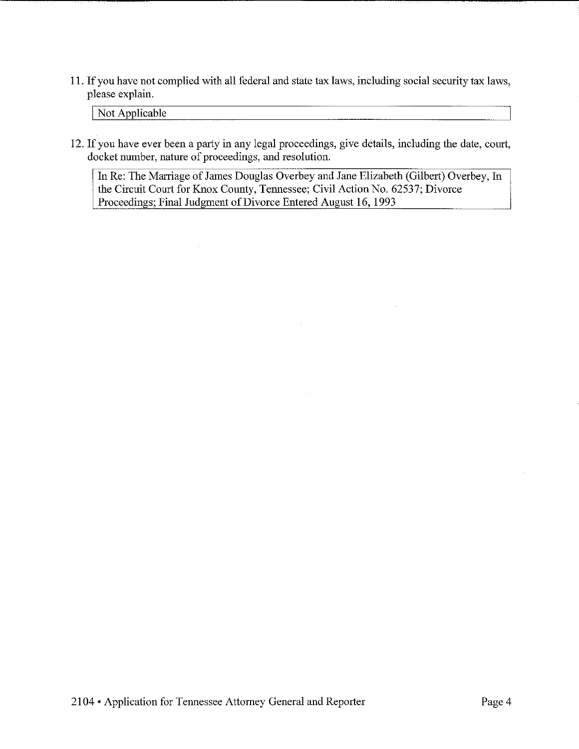11. If you have not complied with all federal and state tax laws, including social security tax laws, please explain.

Not Applicable

12. If you have ever been a party in any legal proceedings, give details, including the date, court, docket number, nature of proceedings, and resolution.

In Re: The Marriage of James Douglas Overbey and Jane Elizabeth (Gilbert) Overbey, In the Circuit Court for Knox County, Tennessee; Civil Action No. 62537; Divorce Proceedings; Final Judgment of Divorce Entered August 16, 1993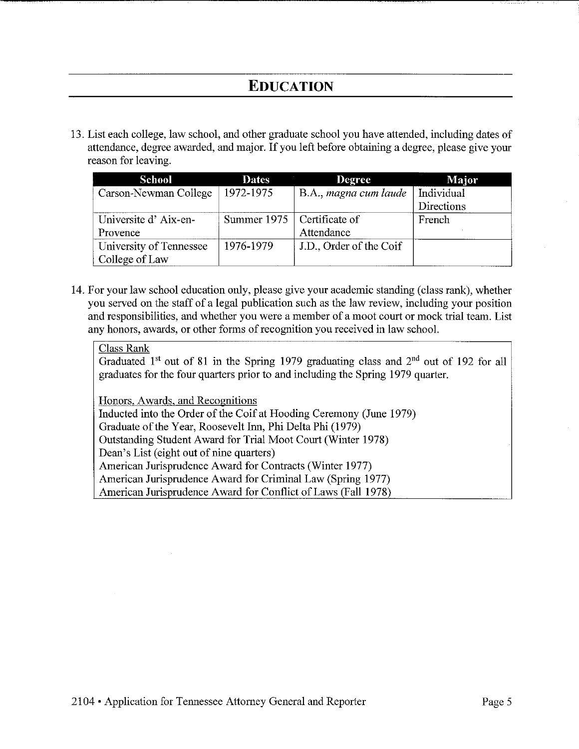### **EDUCATION**

13. List each college, law school, and other graduate school you have attended, including dates of attendance, degree awarded, and major. If you left before obtaining a degree, please give your reason for leaving.

| School                  | <b>Dates</b>                 | <b>Degree</b>           | Major      |
|-------------------------|------------------------------|-------------------------|------------|
| Carson-Newman College   | 1972-1975                    | B.A., magna cum laude   | Individual |
|                         |                              |                         | Directions |
| Universite d'Aix-en-    | Summer 1975   Certificate of |                         | French     |
| Provence                |                              | Attendance              |            |
| University of Tennessee | 1976-1979                    | J.D., Order of the Coif |            |
| College of Law          |                              |                         |            |

14. For your law school education only, please give your academic standing (class rank), whether you served on the staff of a legal publication such as the law review, including your position and responsibilities, and whether you were a member of a moot court or mock trial team. List any honors, awards, or other forms of recognition you received in law school.

#### Class Rank

Graduated  $1<sup>st</sup>$  out of 81 in the Spring 1979 graduating class and  $2<sup>nd</sup>$  out of 192 for all graduates for the four quarters prior to and including the Spring 1979 quarter.

Honors, Awards, and Recognitions

Inducted into the Order of the Coif at Hooding Ceremony (June 1979)

Graduate of the Year, Roosevelt Inn, Phi Delta Phi (1979)

Outstanding Student Award for Trial Moot Court (Winter 1978)

Dean's List (eight out of nine quarters)

American Jurisprudence Award for Contracts (Winter 1977)

American Jurisprudence Award for Criminal Law (Spring 1977)

American Jurisprudence Award for Conflict of Laws (Fall 1978)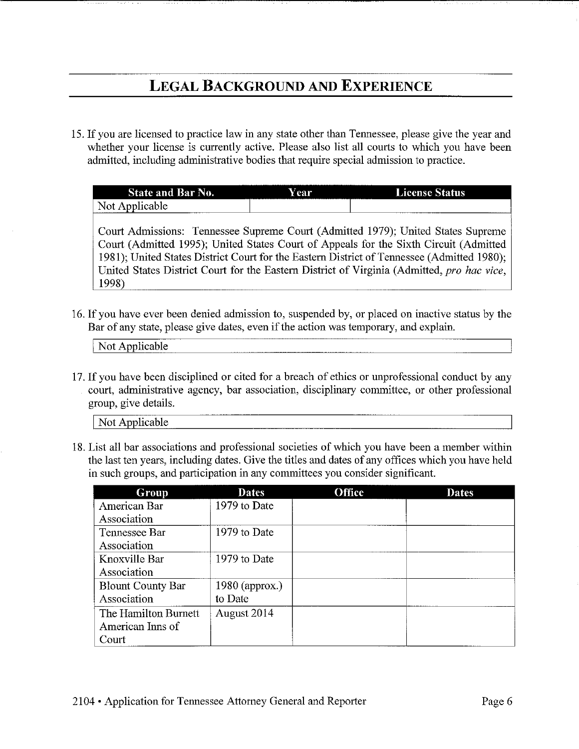### **LEGAL BACKGROUND AND EXPERIENCE**

15. If you are licensed to practice law in any state other than Tennessee, please give the year and whether your license is currently active. Please also list all courts to which you have been admitted, including administrative bodies that require special admission to practice.

| <b>State and Bar</b><br>No.        | <b>Year</b> | <b>License Status</b> |
|------------------------------------|-------------|-----------------------|
| Not<br>Applicable<br><br>_________ |             |                       |

Court Admissions: Tennessee Supreme Court (Admitted 1979); United States Supreme Court (Admitted 1995); United States Court of Appeals for the Sixth Circuit (Admitted 1981); United States District Court for the Eastern District of Tennessee (Admitted 1980); United States District Court for the Eastern District of Virginia (Admitted, *pro hac vice,*  1998)

16. If you have ever been denied admission to, suspended by, or placed on inactive status by the Bar of any state, please give dates, even if the action was temporary, and explain.

Not Applicable

17. If you have been disciplined or cited for a breach of ethics or unprofessional conduct by any court, administrative agency, bar association, disciplinary committee, or other professional group, give details.

Not Applicable

18. List all bar associations and professional societies of which you have been a member within the last ten years, including dates. Give the titles and dates of any offices which you have held in such groups, and participation in any committees you consider significant.

| Group                    | <b>Dates</b>     | <b>Office</b> | <b>Dates</b> |
|--------------------------|------------------|---------------|--------------|
| American Bar             | 1979 to Date     |               |              |
| Association              |                  |               |              |
| Tennessee Bar            | 1979 to Date     |               |              |
| Association              |                  |               |              |
| Knoxville Bar            | 1979 to Date     |               |              |
| Association              |                  |               |              |
| <b>Blount County Bar</b> | $1980$ (approx.) |               |              |
| Association              | to Date          |               |              |
| The Hamilton Burnett     | August 2014      |               |              |
| American Inns of         |                  |               |              |
| Court                    |                  |               |              |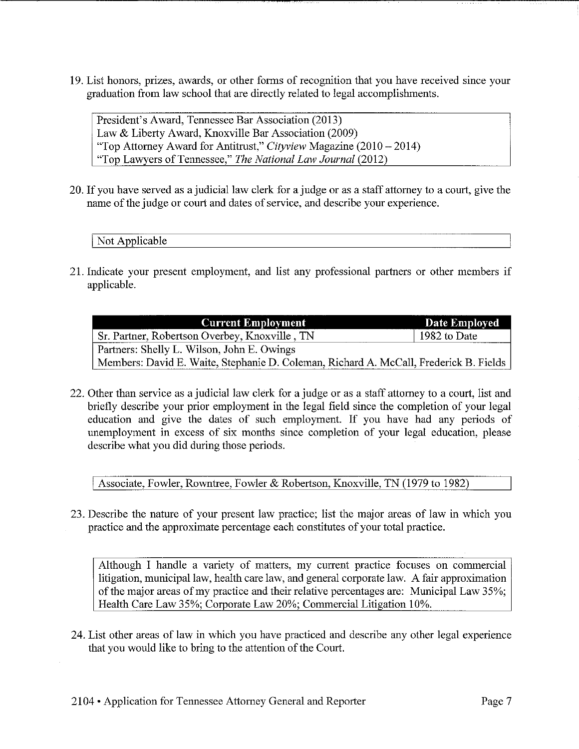19. List honors, prizes, awards, or other forms of recognition that you have received since your graduation from law school that are directly related to legal accomplishments.

President's Award, Tennessee Bar Association (2013) Law & Liberty Award, Knoxville Bar Association (2009) 'Top Attorney Award for Antitrust," *Cityview* Magazine (2010-2014) "Top Lawyers of Tennessee," *The National Law Journal* (2012)

20. If you have served as a judicial law clerk for a judge or as a staff attorney to a court, give the name of the judge or court and dates of service, and describe your experience.

Not Applicable

21. Indicate your present employment, and list any professional partners or other members if applicable.

| <b>Current Employment</b>                                                             | <b>Date Employed</b> |
|---------------------------------------------------------------------------------------|----------------------|
| Sr. Partner, Robertson Overbey, Knoxville, TN                                         | 1982 to Date         |
| Partners: Shelly L. Wilson, John E. Owings                                            |                      |
| Members: David E. Waite, Stephanie D. Coleman, Richard A. McCall, Frederick B. Fields |                      |

22. Other than service as a judicial law clerk for a judge or as a staff attorney to a court, list and briefly describe your prior employment in the legal field since the completion of your legal education and give the dates of such employment. If you have had any periods of unemployment in excess of six months since completion of your legal education, please describe what you did during those periods.

Associate, Fowler, Rowntree, Fowler & Robertson, Knoxville, TN (1979 to 1982)

23. Describe the nature of your present law practice; list the major areas of law in which you practice and the approximate percentage each constitutes of your total practice.

Although I handle a variety of matters, my current practice focuses on commercial litigation, municipal law, health care law, and general corporate law. A fair approximation of the major areas of my practice and their relative percentages are: Municipal Law 35%; Health Care Law 35%; Corporate Law 20%; Commercial Litigation 10%.

24. List other areas of law in which you have practiced and describe any other legal experience that you would like to bring to the attention of the Court.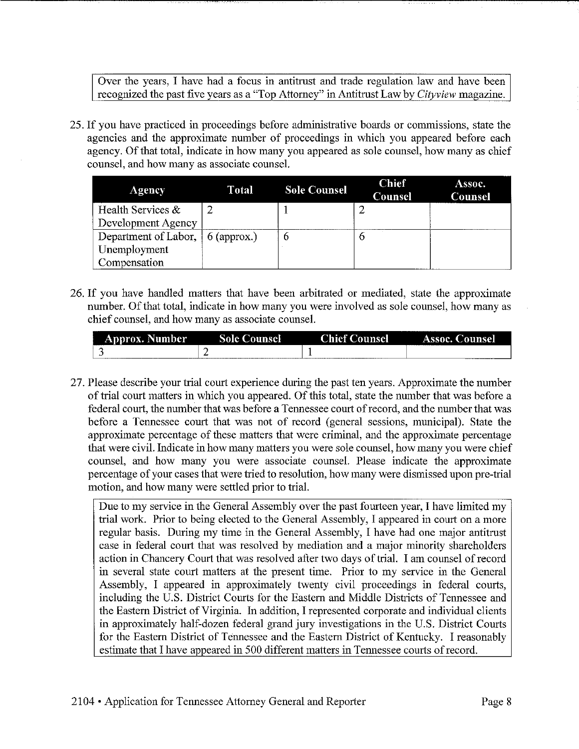Over the years, I have had a focus in antitrust and trade regulation law and have been recognized the past five years as a 'Top Attorney" in Antitrust Law by *Cityview* magazine.

25. If you have practiced in proceedings before administrative boards or commissions, state the agencies and the approximate number of proceedings in which you appeared before each agency. Of that total, indicate in how many you appeared as sole counsel, how many as chief counsel, and how many as associate counsel.

| Agency                                   | Total | <b>Sole Counsel</b> | <b>Chief</b><br>Counsel | Assoc.<br><b>Counsel</b> |
|------------------------------------------|-------|---------------------|-------------------------|--------------------------|
| Health Services $\&$                     |       |                     |                         |                          |
| Development Agency                       |       |                     |                         |                          |
| Department of Labor, $\vert$ 6 (approx.) |       | o                   |                         |                          |
| Unemployment                             |       |                     |                         |                          |
| Compensation                             |       |                     |                         |                          |

26. If you have handled matters that have been arbitrated or mediated, state the approximate number. Of that total, indicate in how many you were involved as sole counsel, how many as chief counsel, and how many as associate counsel.

| ----<br><b>Approx. Number</b> | Sole C<br>ounsel | <b>Thieft</b><br>Lounsel | Assoc. C<br>Dounsel |
|-------------------------------|------------------|--------------------------|---------------------|
|                               |                  |                          |                     |

27. Please describe your trial court experience during the past ten years. Approximate the number of trial court matters in which you appeared. Of this total, state the number that was before a federal court, the number that was before a Tennessee court of record, and the number that was before a Tennessee court that was not of record (general sessions, municipal). State the approximate percentage of these matters that were criminal, and the approximate percentage that were civil. Indicate in how many matters you were sole counsel, how many you were chief counsel, and how many you were associate counsel. Please indicate the approximate percentage of your cases that were tried to resolution, how many were dismissed upon pre-tiial motion, and how many were settled prior to trial.

Due to my service in the General Assembly over the past fourteen year, I have limited my trial work. Prior to being elected to the General Assembly, I appeared in court on a more regular basis. During my time in the General Assembly, I have had one major antitrust case in federal court that was resolved by mediation and a major minority shareholders action in Chancery Court that was resolved after two days of trial. I am counsel of record in several state court matters at the present time. Prior to my service in the General Assembly, I appeared in approximately twenty civil proceedings in federal courts, including the U.S. District Courts for the Eastern and Middle Districts of Tennessee and the Eastern District of Virginia. In addition, I represented corporate and individual clients in approximately half-dozen federal grand jury investigations in the U.S. District Courts for the Eastern District of Tennessee and the Eastern District of Kentucky. I reasonably estimate that I have appeared in 500 different matters in Tennessee courts of record.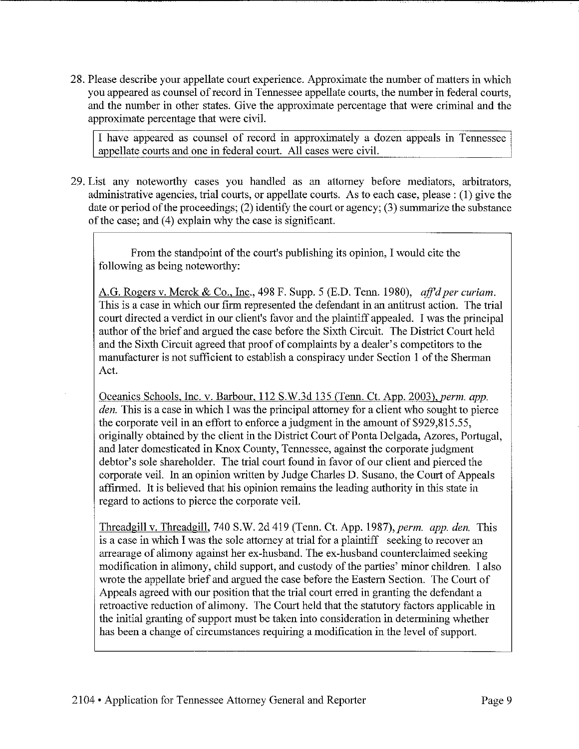28. Please describe your appellate court experience. Approximate the number of matters in which you appeared as counsel of record in Tennessee appellate courts, the number in federal courts, and the number in other states. Give the approximate percentage that were criminal and the approximate percentage that were civil.

I have appeared as counsel of record in approximately a dozen appeals in Tennessee appellate courts and one in federal court. All cases were civil.

29. List any noteworthy cases you handled as an attorney before mediators, arbitrators, administrative agencies, trial courts, or appellate courts. As to each case, please : (I) give the date or period of the proceedings; (2) identify the court or agency; (3) summarize the substance of the case; and (4) explain why the case is significant.

From the standpoint of the court's publishing its opinion, I would cite the following as being noteworthy:

A.G. Rogers v. Merck & Co., Inc., 498 F. Supp. 5 (E.D. Tenn. 1980), *ajj'd per curiam.*  This is a case in which our firm represented the defendant in an antitrust action. The trial court directed a verdict in our client's favor and the plaintiff appealed. I was the principal author of the brief and argued the case before the Sixth Circuit. The District Court held and the Sixth Circuit agreed that proof of complaints by a dealer's competitors to the manufacturer is not sufficient to establish a conspiracy under Section 1 of the Sherman Act.

Oceanics Schools, Inc. v. Barbour, 112 S.W.3d 135 (Tenn. Ct. App. 2003), *perm. app. den.* This is a case in which I was the principal attorney for a client who sought to pierce the corporate veil in an effort to enforce a judgment in the amount of \$929,815.55, originally obtained by the client in the District Court of Ponta Delgada, Azores, Portugal, and later domesticated in Knox County, Tennessee, against the corporate judgment debtor's sole shareholder. The trial court found in favor of our client and pierced the corporate veil. In an opinion written by Judge Charles D. Susano, the Court of Appeals affirmed. It is believed that his opinion remains the leading authority in this state in regard to actions to pierce the corporate veil.

Threadgill v. Threadgill, 740 S.W. 2d 419 (Tenn. Ct. App. 1987), perm. app. den. This is a case in which I was the sole attorney at trial for a plaintiff seeking to recover an arrearage of alimony against her ex-husband. The ex-husband counterclaimed seeking modification in alimony, child support, and custody of the parties' minor children. I also wrote the appellate brief and argued the case before the Eastern Section. The Court of Appeals agreed with our position that the trial court erred in granting the defendant a retroactive reduction of alimony. The Court held that the statutory factors applicable in the initial granting of support must be taken into consideration in determining whether has been a change of circumstances requiring a modification in the level of support.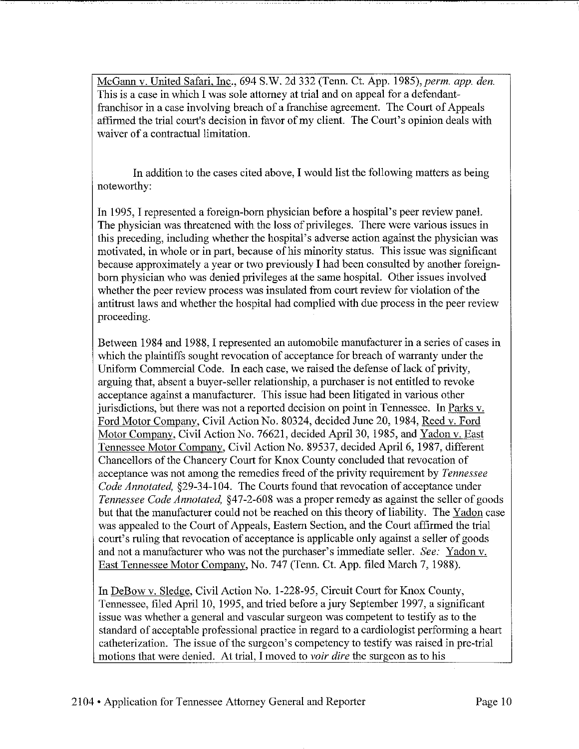McGann v. United Safari, Inc., 694 S.W. 2d 332 (Tenn. Ct. App. 1985), perm. app. den. This is a case in which I was sole attorney at trial and on appeal for a defendantfranchisor in a case involving breach of a franchise agreement. The Court of Appeals affirmed the trial court's decision in favor of my client. The Court's opinion deals with waiver of a contractual limitation.

In addition to the cases cited above, I would list the following matters as being noteworthy:

In 1995, I represented a foreign-born physician before a hospital's peer review panel. The physician was threatened with the loss of privileges. There were various issues in this preceding, including whether the hospital's adverse action against the physician was motivated, in whole or in part, because of his minority status. This issue was significant because approximately a year or two previously I had been consulted by another foreignborn physician who was denied privileges at the same hospital. Other issues involved whether the peer review process was insulated from court review for violation of the antitrust laws and whether the hospital had complied with due process in the peer review proceeding.

Between 1984 and 1988, I represented an automobile manufacturer in a series of cases in which the plaintiffs sought revocation of acceptance for breach of warranty under the Uniform Commercial Code. In each case, we raised the defense of lack of privity, arguing that, absent a buyer-seller relationship, a purchaser is not entitled to revoke acceptance against a manufacturer. This issue had been litigated in various other jurisdictions, but there was not a reported decision on point in Tennessee. In Parks v. Ford Motor Company, Civil Action No. 80324, decided June 20, 1984, Reed v. Ford Motor Company, Civil Action No. 76621, decided April 30, 1985, and Yadon v. East Tennessee Motor Company, Civil Action No. 89537, decided April 6, 1987, different Chancellors of the Chancery Court for Knox County concluded that revocation of acceptance was not among the remedies freed of the privity requirement by *Tennessee Code Annotated,* §29-34-104. The Courts found that revocation of acceptance under *Tennessee Code Annotated,* §47-2-608 was a proper remedy as against the seller of goods but that the manufacturer could not be reached on this theory of liability. The Yadon case was appealed to the Court of Appeals, Eastern Section, and the Court affirmed the trial court's ruling that revocation of acceptance is applicable only against a seller of goods and not a manufacturer who was not the purchaser's immediate seller. *See:* Yadon v. East Tennessee Motor Company, No. 747 (Tenn. Ct. App. filed March 7, 1988).

In DeBow v. Sledge, Civil Action No. 1-228-95, Circuit Court for Knox County, Tennessee, filed April 10, 1995, and tried before a jury September 1997, a significant issue was whether a general and vascular surgeon was competent to testify as to the standard of acceptable professional practice in regard to a cardiologist performing a heart catheterization. The issue of the surgeon's competency to testify was raised in pre-trial motions that were denied. At trial, I moved to *voir dire* the surgeon as to his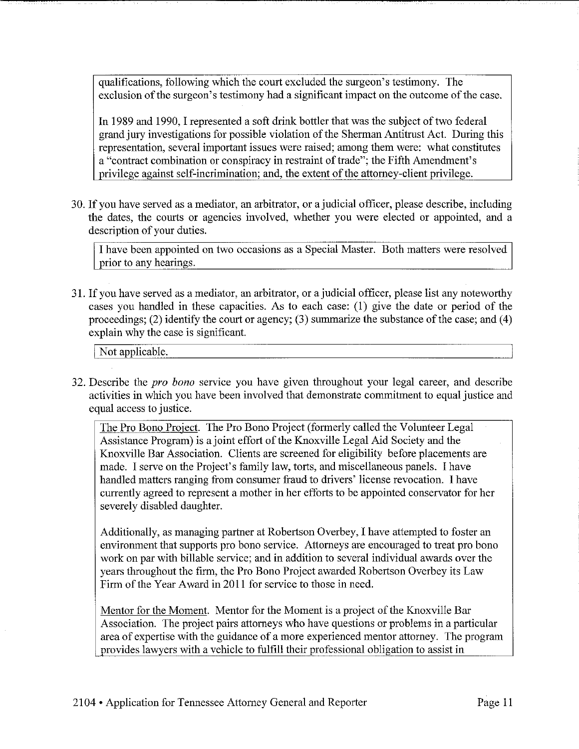qualifications, following which the court excluded the surgeon's testimony. The exclusion of the surgeon's testimony had a significant impact on the outcome of the case.

In 1989 and 1990, I represented a soft drink bottler that was the subject of two federal grand jury investigations for possible violation of the Sherman Antitrust Act. During this representation, several important issues were raised; among them were: what constitutes a "contract combination or conspiracy in restraint of trade"; the Fifth Amendment's privilege against self-incrimination; and, the extent of the attorney-client privilege.

30. If you have served as a mediator, an arbitrator, or a judicial officer, please describe, including the dates, the courts or agencies involved, whether you were elected or appointed, and a description of your duties.

I have been appointed on two occasions as a Special Master. Both matters were resolved prior to any hearings.

31. If you have served as a mediator, an arbitrator, or a judicial officer, please list any noteworthy cases you handled in these capacities. As to each case: (1) give the date or period of the proceedings; (2) identify the court or agency; (3) summarize the substance of the case; and (4) explain why the case is significant.

Not applicable.

32. Describe the *pro bona* service you have given throughout your legal career, and describe activities in which you have been involved that demonstrate commitment to equal justice and equal access to justice.

The Pro Bono Project. The Pro Bono Project (formerly called the Volunteer Legal Assistance Program) is a joint effort of the Knoxville Legal Aid Society and the Knoxville Bar Association. Clients are screened for eligibility before placements are made. I serve on the Project's family law, torts, and miscellaneous panels. I have handled matters ranging from consumer fraud to drivers' license revocation. I have currently agreed to represent a mother in her efforts to be appointed conservator for her severely disabled daughter.

Additionally, as managing partner at Robertson Overbey, I have attempted to foster an environment that supports pro bono service. Attorneys are encouraged to treat pro bono work on par with billable service; and in addition to several individual awards over the years throughout the firm, the Pro Bono Project awarded Robertson Overbey its Law Firm of the Year Award in 2011 for service to those in need.

Mentor for the Moment. Mentor for the Moment is a project of the Knoxville Bar Association. The project pairs attorneys who have questions or problems in a particular area of expertise with the guidance of a more experienced mentor attorney. The program provides lawyers with a vehicle to fulfill their professional obligation to assist in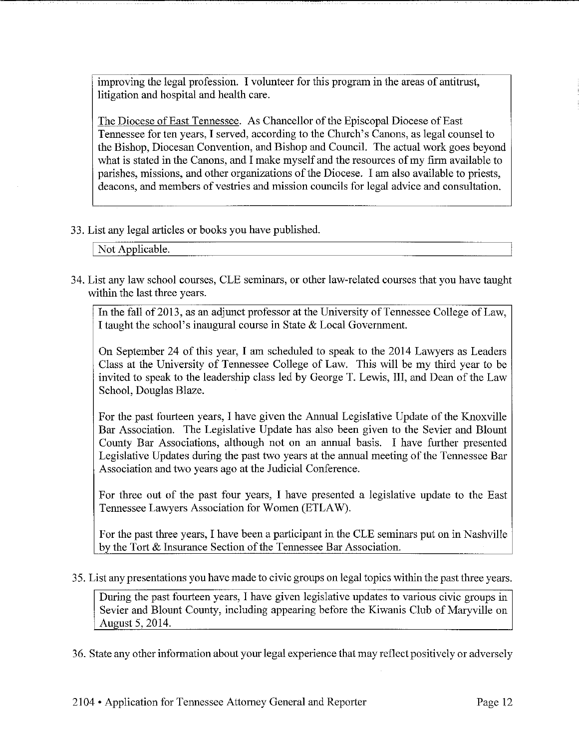improving the legal profession. I volunteer for this program in the areas of antitrust, litigation and hospital and health care.

The Diocese of East Tennessee. As Chancellor of the Episcopal Diocese of East Tennessee for ten years, I served, according to the Church's Canons, as legal counsel to the Bishop, Diocesan Convention, and Bishop and Council. The actual work goes beyond what is stated in the Canons, and I make myself and the resources of my firm available to parishes, missions, and other organizations of the Diocese. I am also available to priests, deacons, and members of vestries and mission councils for legal advice and consultation.

#### 33. List any legal articles or books you have published.

Not Applicable.

34. List any law school courses, CLE seminars, or other law-related courses that you have taught within the last three years.

In the fall of 2013, as an adjunct professor at the University of Tennessee College of Law, I taught the school's inaugural course in State & Local Government.

On September 24 of this year, I am scheduled to speak to the 2014 Lawyers as Leaders Class at the University of Tennessee College of Law. This will be my third year to be invited to speak to the leadership class led by George T. Lewis, III, and Dean of the Law School, Douglas Blaze.

For the past fourteen years, I have given the Annual Legislative Update of the Knoxville Bar Association. The Legislative Update has also been given to the Sevier and Blount County Bar Associations, although not on an annual basis. I have further presented Legislative Updates during the past two years at the annual meeting of the Tennessee Bar Association and two years ago at the Judicial Conference.

For three out of the past four years, I have presented a legislative update to the East Tennessee Lawyers Association for Women (ETLA *W).* 

For the past three years, I have been a participant in the CLE seminars put on in Nashville by the Tort & Insurance Section of the Tennessee Bar Association.

3 5. List any presentations you have made to civic groups on legal topics within the past three years.

During the past fourteen years, I have given legislative updates to various civic groups in Sevier and Blount County, including appearing before the Kiwanis Club of Maryville on August 5, 2014.

36. State any other information about your legal experience that may reflect positively or adversely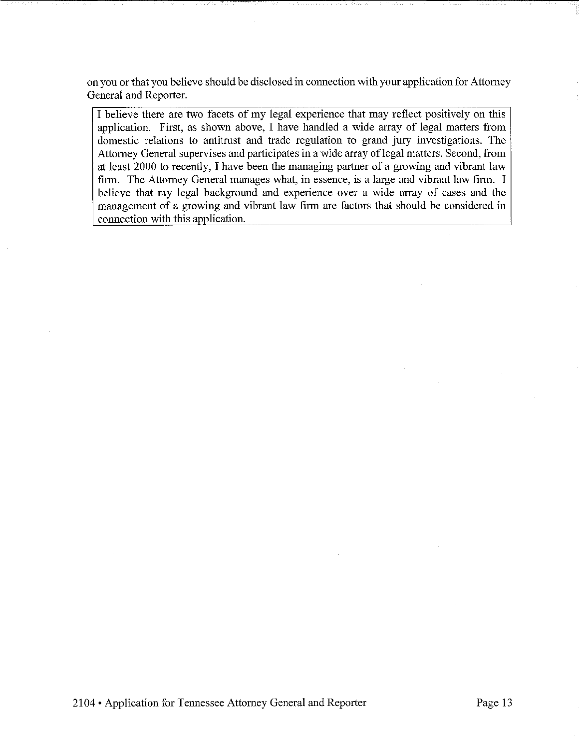on you or that you believe should be disclosed in connection with your application for Attorney General and Reporter.

I believe there are two facets of my legal experience that may reflect positively on this application. First, as shown above, I have handled a wide array of legal matters from domestic relations to antitrust and trade regulation to grand jury investigations. The Attorney General supervises and participates in a wide array of legal matters. Second, from at least 2000 to recently, I have been the managing partner of a growing and vibrant law firm. The Attorney General manages what, in essence, is a large and vibrant law firm. I believe that my legal background and experience over a wide array of cases and the management of a growing and vibrant law firm are factors that should be considered in connection with this application.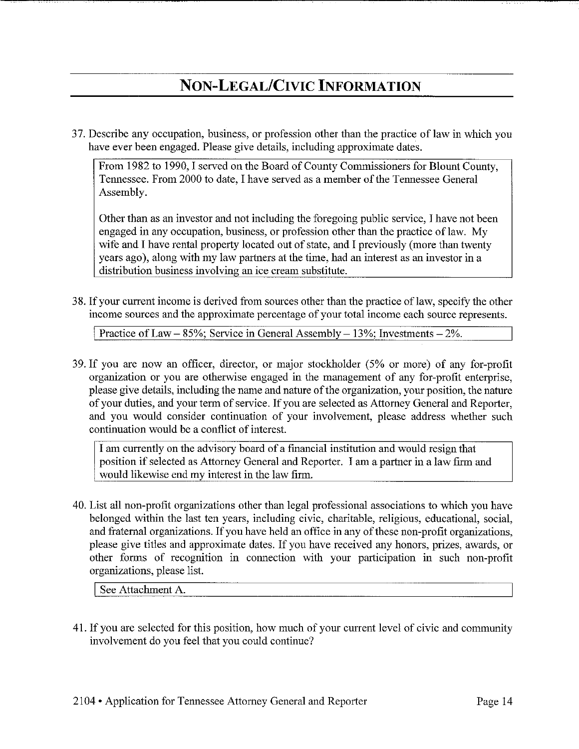### **NON-LEGAL/CIVIC INFORMATION**

37. Describe any occupation, business, or profession other than the practice of law in which you have ever been engaged. Please give details, including approximate dates.

From 1982 to 1990, I served on the Board of County Commissioners for Blount County, Tennessee. From 2000 to date, I have served as a member of the Tennessee General Assembly.

Other than as an investor and not including the foregoing public service, I have not been engaged in any occupation, business, or profession other than the practice of law. My wife and I have rental property located out of state, and I previously (more than twenty years ago), along with my law partners at the time, had an interest as an investor in a distribution business involving an ice cream substitute.

38. If your current income is derived from sources other than the practice oflaw, specify the other income sources and the approximate percentage of your total income each source represents.

Practice of Law – 85%; Service in General Assembly – 13%; Investments –  $2\%$ .

39. If you are now an officer, director, or major stockholder (5% or more) of any for-profit organization or you are otherwise engaged in the management of any for-profit enterprise, please give details, including the name and nature of the organization, your position, the nature of your duties, and your term of service. If you are selected as Attorney General and Reporter, and you would consider continuation of your involvement, please address whether such continuation would be a conflict of interest.

I am currently on the advisory board of a fmancial institution and would resign that position if selected as Attorney General and Reporter. I am a partner in a law firm and would likewise end my interest in the law firm.

40. List all non-profit organizations other than legal professional associations to which you have belonged within the last ten years, including civic, charitable, religious, educational, social, and fraternal organizations. If you have held an office in any of these non-profit organizations, please give titles and approximate dates. If you have received any honors, prizes, awards, or other fonns of recognition in counection with your participation in such non-profit organizations, please list.

I See Attachment A.

41. If you are selected for this position, how much of your current level of civic and community involvement do you feel that you could continue?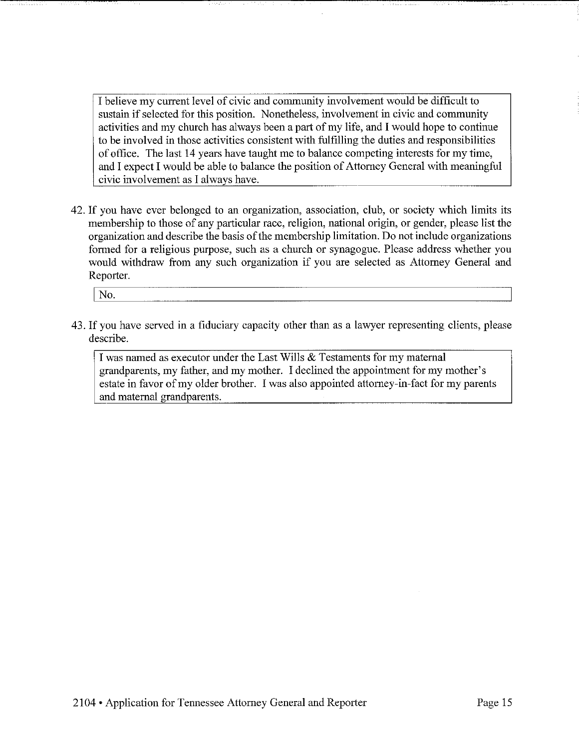I believe my current level of civic and community involvement would be difficult to sustain if selected for this position. Nonetheless, involvement in civic and community activities and my church has always been a part of my life, and I would hope to continue to be involved in those activities consistent with fulfilling the duties and responsibilities of office. The last 14 years have taught me to balance competing interests for my time, and I expect I would be able to balance the position of Attorney General with meaningful civic involvement as I always have.

42. If you have ever belonged to an organization, association, club, or society which limits its membership to those of any particular race, religion, national origin, or gender, please list the organization and describe the basis of the membership limitation. Do not include organizations formed for a religious purpose, such as a church or synagogue. Please address whether you would withdraw from any such organization if you are selected as Attorney General and Reporter.

No.

43. If you have served in a fiduciary capacity other than as a lawyer representing clients, please describe.

I was named as executor under the Last Wills & Testaments for my maternal grandparents, my father, and my mother. I declined the appointment for my mother's estate in favor of my older brother. I was also appointed attorney-in-fact for my parents and maternal grandparents.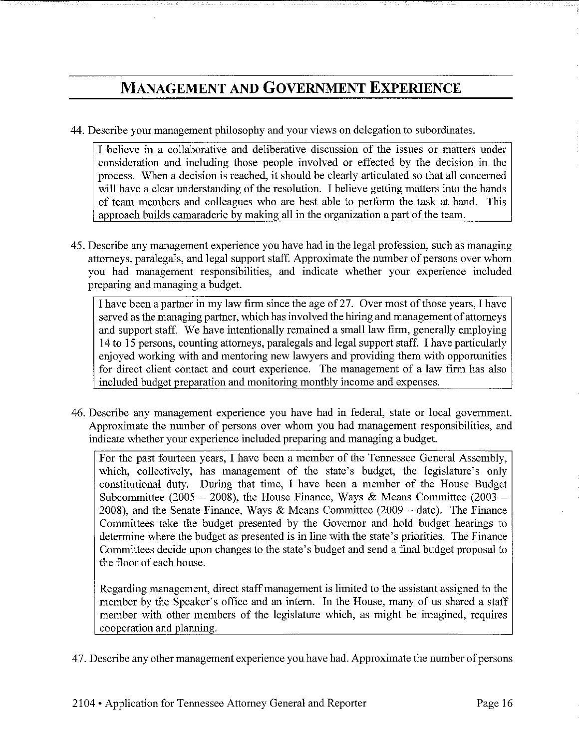### **MANAGEMENT AND GOVERNMENT EXPERIENCE**

44. Describe your management philosophy and your views on delegation to subordinates.

I believe in a collaborative and deliberative discussion of the issues or matters under consideration and including those people involved or effected by the decision in the process. When a decision is reached, it should be clearly articulated so that all concerned will have a clear understanding of the resolution. I believe getting matters into the hands of team members and colleagues who are best able to perform the task at hand. This approach builds camaraderie by making all in the organization a part of the team.

45. Describe any management experience you have had in the legal profession, such as managing attorneys, paralegals, and legal support staff. Approximate the number of persons over whom you had management responsibilities, and indicate whether your experience included preparing and managing a budget.

I have been a partner in my law firm since the age of 27. Over most of those years, I have served as the managing partner, which has involved the hiring and management of attorneys and support staff. We have intentionally remained a small law firm, generally employing 14 to 15 persons, counting attorneys, paralegals and legal support staff. I have particularly enjoyed working with and mentoring new lawyers and providing them with opportunities for direct client contact and court experience. The management of a law firm has also included budget preparation and monitoring monthly income and expenses.

46. Describe any management experience you have had in federal, state or local government. Approximate the number of persons over whom you had management responsibilities, and indicate whether your experience included preparing and managing a budget.

For the past fourteen years, I have been a member of the Tennessee General Assembly, which, collectively, has management of the state's budget, the legislature's only constitutional duty. During that time, I have been a member of the House Budget Subcommittee (2005 - 2008), the House Finance, Ways & Means Committee (2003 -2008), and the Senate Finance, Ways & Means Committee (2009 - date). The Finance Committees take the budget presented by the Governor and hold budget hearings to determine where the budget as presented is in line with the state's priorities. The Finance Committees decide upon changes to the state's budget and send a final budget proposal to the floor of each house.

Regarding management, direct staff management is limited to the assistant assigned to the member by the Speaker's office and an intern. In the House, many of us shared a staff member with other members of the legislature which, as might be imagined, requires cooperation and planning.

47. Describe any other management experience you have had. Approximate the number of persons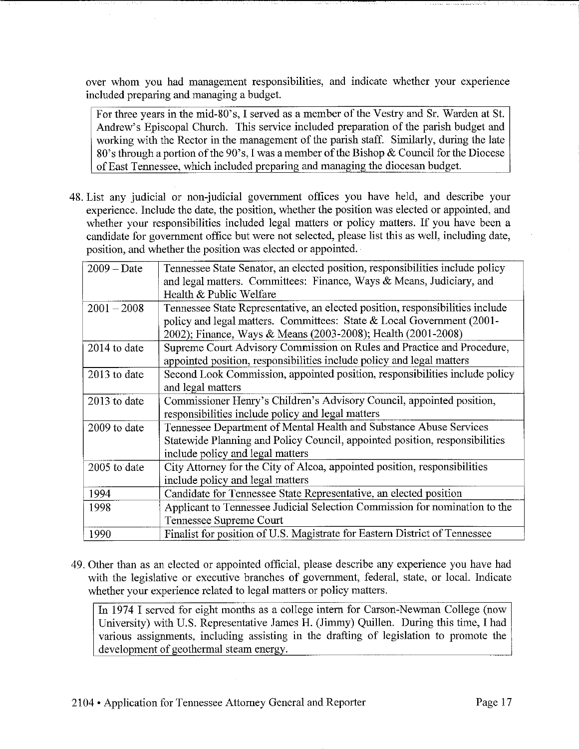over whom you had management responsibilities, and indicate whether your experience included preparing and managing a budget.

For three years in the mid-80's, I served as a member of the Vestry and Sr. Warden at St. Andrew's Episcopal Church. This service included preparation of the parish budget and working with the Rector in the management of the parish staff. Similarly, during the late 80's through a portion of the 90's, I was amember of the Bishop & Council for the Diocese of East Tennessee, which included preparing and managing the diocesan budget.

48. List any judicial or non-judicial government offices you have held, and describe your experience. Include the date, the position, whether the position was elected or appointed, and whether your responsibilities included legal matters or policy matters. If you have been a candidate for government office but were not selected, please list this as well, including date, position, and whether the position was elected or appointed.

| $2009 - Date$ | Tennessee State Senator, an elected position, responsibilities include policy<br>and legal matters. Committees: Finance, Ways & Means, Judiciary, and<br>Health & Public Welfare                                       |
|---------------|------------------------------------------------------------------------------------------------------------------------------------------------------------------------------------------------------------------------|
| $2001 - 2008$ | Tennessee State Representative, an elected position, responsibilities include<br>policy and legal matters. Committees: State & Local Government (2001-<br>2002); Finance, Ways & Means (2003-2008); Health (2001-2008) |
| 2014 to date  | Supreme Court Advisory Commission on Rules and Practice and Procedure,<br>appointed position, responsibilities include policy and legal matters                                                                        |
| 2013 to date  | Second Look Commission, appointed position, responsibilities include policy<br>and legal matters                                                                                                                       |
| 2013 to date  | Commissioner Henry's Children's Advisory Council, appointed position,<br>responsibilities include policy and legal matters                                                                                             |
| 2009 to date  | Tennessee Department of Mental Health and Substance Abuse Services<br>Statewide Planning and Policy Council, appointed position, responsibilities<br>include policy and legal matters                                  |
| 2005 to date  | City Attorney for the City of Alcoa, appointed position, responsibilities<br>include policy and legal matters                                                                                                          |
| 1994          | Candidate for Tennessee State Representative, an elected position                                                                                                                                                      |
| 1998          | Applicant to Tennessee Judicial Selection Commission for nomination to the<br>Tennessee Supreme Court                                                                                                                  |
| 1990          | Finalist for position of U.S. Magistrate for Eastern District of Tennessee                                                                                                                                             |

49. Other than as an elected or appointed official, please describe any experience you have had with the legislative or executive branches of government, federal, state, or local. Indicate whether your experience related to legal matters or policy matters.

In 1974 I served for eight months as a college intern for Carson-Newman College (now University) with U.S. Representative James H. (Jimmy) Quillen. During this time, I had various assignments, including assisting in the drafting of legislation to promote the development of geothermal steam energy.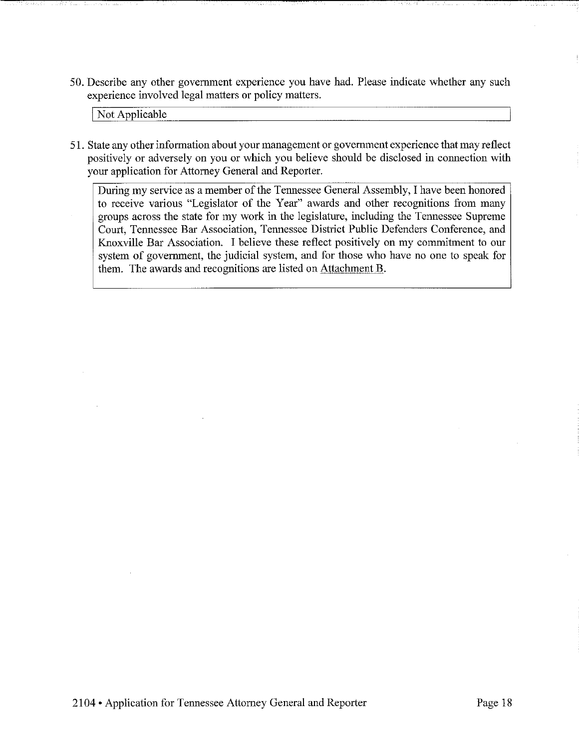50. Describe any other government experience you have had. Please indicate whether any such experience involved legal matters or policy matters.

Not Applicable

51. State any other information about your management or government experience that may reflect positively or adversely on you or which you believe should be disclosed in connection with your application for Attorney General and Reporter.

During my service as a member of the Tennessee General Assembly, I have been honored to receive various "Legislator of the Year" awards and other recognitions from many groups across the state for my work in the legislature, including the Tennessee Supreme Court, Tennessee Bar Association, Tennessee District Public Defenders Conference, and Knoxville Bar Association. I believe these reflect positively on my commitment to our system of government, the judicial system, and for those who have no one to speak for them. The awards and recognitions are listed on Attachment B.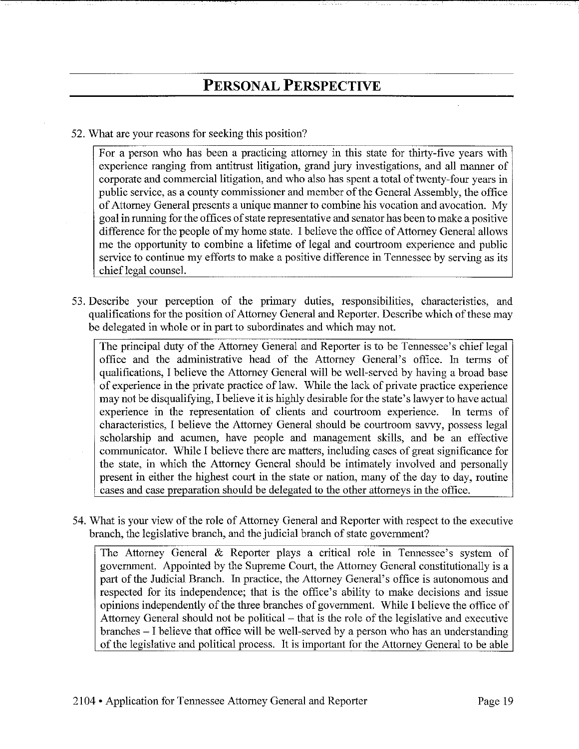52. What are your reasons for seeking this position?

For a person who has been a practicing attorney in this state for thirty-five years with experience ranging from antitrust litigation, grand jury investigations, and all manner of corporate and commercial litigation, and who also has spent a total of twenty-four years in public service, as a county commissioner and member of the General Assembly, the office of Attorney General presents a unique manner to combine his vocation and avocation. My goal in running for the offices of state representative and senator has been to make a positive difference for the people of my home state. I believe the office of Attorney General allows me the opportunity to combine a lifetime of legal and courtroom experience and public service to continue my efforts to make a positive difference in Tennessee by serving as its chief legal counsel.

53. Describe your perception of the primary duties, responsibilities, characteristics, and qualifications for the position of Attorney General and Reporter. Describe which of these may be delegated in whole or in part to subordinates and which may not.

The principal duty of the Attorney General and Reporter is to be Tennessee's chief legal office and the administrative head of the Attorney General's office. In terms of qualifications, I believe the Attorney General will be well-served by having a broad base of experience in the private practice of law. While the lack of private practice experience may not be disqualifying, I believe it is highly desirable for the state's lawyer to have actual experience in the representation of clients and courtroom experience. In terms of characteristics, I believe the Attorney General should be courtroom savvy, possess legal scholarship and acumen, have people and management skills, and be an effective communicator. While I believe there are matters, including cases of great significance for the state, in which the Attorney General should be intimately involved and personally present in either the highest court in the state or nation, many of the day to day, routine cases and case preparation should be delegated to the other attorneys in the office.

54. What is your view of the role of Attorney General and Reporter with respect to the executive branch, the legislative branch, and the judicial branch of state government?

The Attorney General & Reporter plays a critical role in Tennessee's system of government. Appointed by the Supreme Court, the Attorney General constitutionally is a part of the Judicial Branch. In practice, the Attorney General's office is autonomous and respected for its independence; that is the office's ability to make decisions and issue opinions independently of the three branches of government. While I believe the office of Attorney General should not be political - that is the role of the legislative and executive branches - I believe that office will be well-served by a person who has an understanding of the legislative and political process. It is important for the Attorney General to be able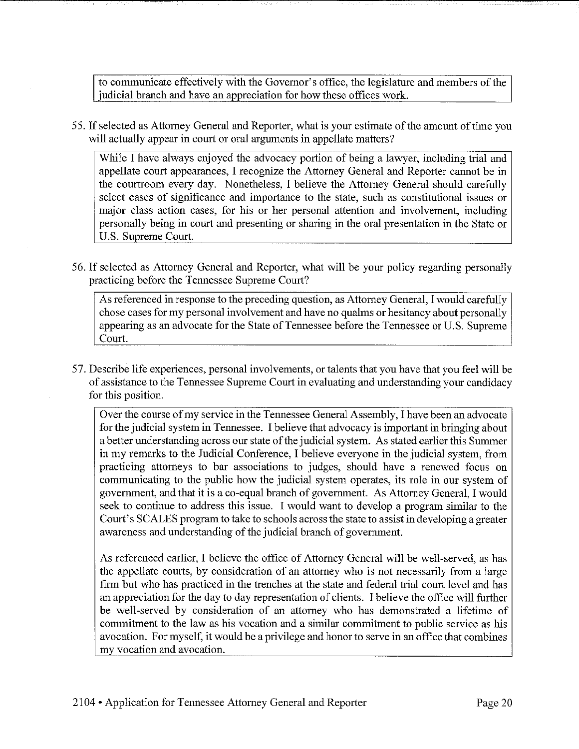to communicate effectively with the Governor's office, the legislature and members of the judicial branch and have an appreciation for how these offices work.

5 5. If selected as Attorney General and Reporter, what is your estimate of the amount of time you will actually appear in court or oral arguments in appellate matters?

While I have always enjoyed the advocacy portion of being a lawyer, including trial and appellate court appearances, I recognize the Attorney General and Reporter cannot be in the courtroom every day. Nonetheless, I believe the Attorney General should carefully select cases of significance and importance to the state, such as constitutional issues or major class action cases, for his or her personal attention and involvement, including personally being in court and presenting or sharing in the oral presentation in the State or U.S. Supreme Court.

56. If selected as Attorney General and Reporter, what will be your policy regarding personally practicing before the Tennessee Supreme Court?

As referenced in response to the preceding question, as Attorney General, I would carefully chose cases for my personal involvement and have no qualms or hesitancy about personally appearing as an advocate for the State of Tennessee before the Tennessee or U.S. Supreme Court.

57. Describe life experiences, personal involvements, or talents that you have that you feel will be of assistance to the Tennessee Supreme Court in evaluating and understanding your candidacy for this position.

Over the course of my service in the Tennessee General Assembly, I have been an advocate for the judicial system in Tennessee. I believe that advocacy is important in bringing about a better understanding across our state of the judicial system. As stated earlier this Sunnner in my remarks to the Judicial Conference, I believe everyone in the judicial system, from practicing attorneys to bar associations to judges, should have a renewed focus on communicating to the public how the judicial system operates, its role in our system of government, and that it is a co-equal branch of government. As Attorney General, I would seek to continue to address this issue. I would want to develop a program similar to the Court's SCALES program to talce to schools across the state to assist in developing a greater awareness and understanding of the judicial branch of government.

As referenced earlier, I believe the office of Attorney General will be well-served, as has the appellate courts, by consideration of an attorney who is not necessarily from a large firm but who has practiced in the trenches at the state and federal trial court level and has an appreciation for the day to day representation of clients. I believe the office will further be well-served by consideration of an attorney who has demonstrated a lifetime of commitment to the law as his vocation and a similar commitment to public service as his avocation. For myself, it would be a privilege and honor to serve in an office that combines my vocation and avocation.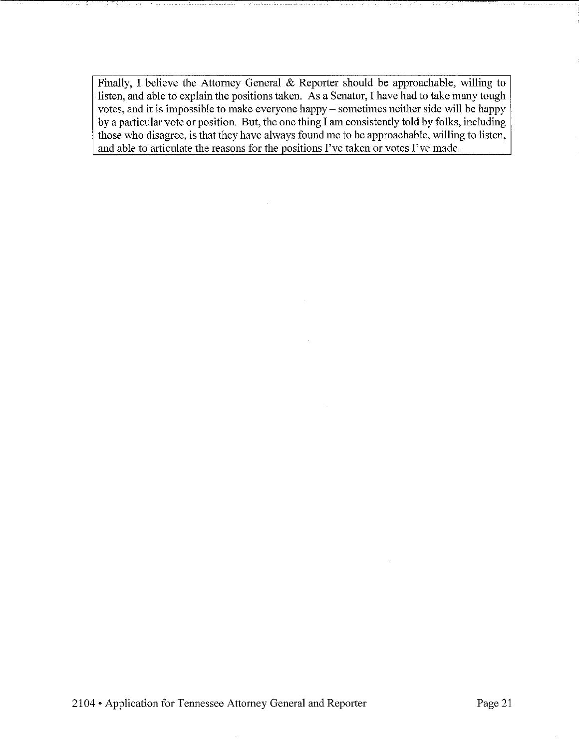Finally, I believe the Attorney General & Reporter should be approachable, willing to listen, and able to explain the positions taken. As a Senator, I have had to take many tough votes, and it is impossible to make everyone happy- sometimes neither side will be happy by a particular vote or position. But, the one thing I am consistently told by folks, including those who disagree, is that they have always found me to be approachable, willing to listen, and able to articulate the reasons for the positions I've taken or votes I've made.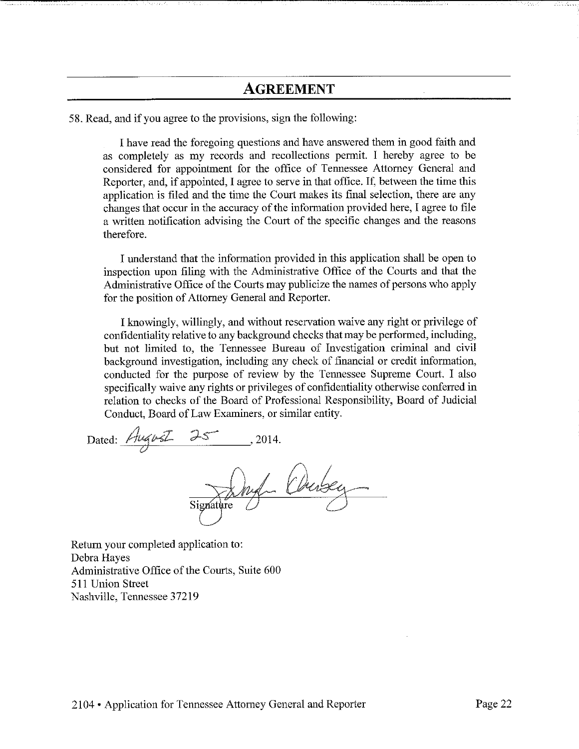### **AGREEMENT**

58. Read, and if you agree to the provisions, sign the following:

I have read the foregoing questions and have answered them in good faith and as completely as my records and recollections permit. I hereby agree to be considered for appointment for the office of Tennessee Attorney General and Reporter, and, if appointed, I agree to serve in that office. If, between the time this application is filed and the time the Court makes its final selection, there are any changes that occur in the accuracy of the information provided here, I agree to file a written notification advising the Court of the specific changes and the reasons therefore.

I understand that the information provided in this application shall be open to inspection upon filing with the Administrative Office of the Courts and that the Administrative Office of the Courts may publicize the names of persons who apply for the position of Attorney General and Reporter.

I knowingly, willingly, and without reservation waive any right or privilege of confidentiality relative to any background checks that may be performed, including, but not limited to, the Tennessee Bureau of Investigation criminal and civil background investigation, including any check of financial or credit information, conducted for the purpose of review by the Tennessee Supreme Court. I also specifically waive any rights or privileges of confidentiality otherwise conferred in relation to checks of the Board of Professional Responsibility, Board of Judicial Conduct, Board of Law Examiners, or similar entity.

Dated:  $AugvZ 25$ , 2014.

Return your completed application to: Debra Hayes Administrative Office of the Courts, Suite 600 511 Union Street Nashville, Tennessee 37219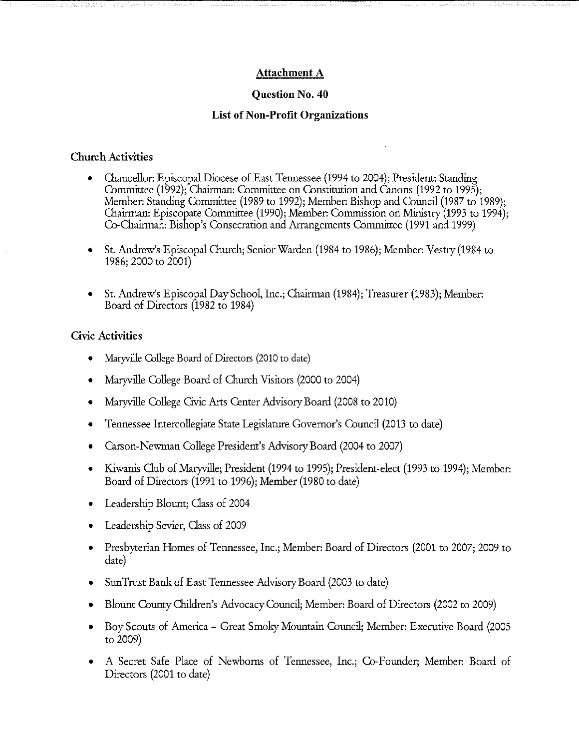#### **Attachment A**

#### **Question No. 40**

#### **List of Non-Profit Organizations**

#### **Church Activities**

- Chancellor: Episcopal Diocese of East Tennessee (1994 to 2004); President: Standing Committee (1992); Chairman: Committee on Constitution and Canons (1992 to 1995); Member: Standing Committee (1989 to 1992); Member: Bishop and Council (1987 to 1989); Chairman: Episcopate Committee (1990); Member: Commission on Ministry (1993 to 1994); Co-Chairman: Bishop's Consecration and Arrangements Committee (1991 and 1999)
- St. Andrew's Episcopal Church; Senior Warden (1984 to 1986); Member: Vestry (1984 to 1986; 2000 to 2001)
- St. Andrew's Episcopal Day School, Inc.; Chairman (1984); Treasurer (1983); Member: Board of Directors (1982 to 1984)

#### **Civic Activities**

- Maryville College Board of Directors (2010 to date)
- Maryville College Board of Church Visitors (2000 to 2004)
- Maryville College Civic Arts Center Advisory Board (2008 to 2010)
- Tennessee Intercollegiate State Legislature Governor's Council (2013 to date)
- Carson-Newman College President's Advisory Board (2004 to 2007)
- Kiwanis Oub of Maryville; President (1994 to 1995); President-elect (1993 to 1994); Member: Board of Directors (1991 to 1996); Member (1980 to date)
- Leadership Blount; Oass of 2004
- Leadership Sevier, Oass of 2009
- Presbyterian Homes of Tennessee, Inc.; Member: Board of Directors (2001 to 2007; 2009 to date)
- SunTrust Bank of East Tennessee Advisory Board (2003 to date)
- Blount County Children's Advocacy Council; Member: Board of Directors (2002 to 2009)
- Boy Scouts of America Great Smoky Mountain Council; Member: Executive Board (2005 to 2009)
- A Secret Safe Place of Newborns of Tennessee, Inc.; Co-Founder; Member: Board of Directors (2001 to date)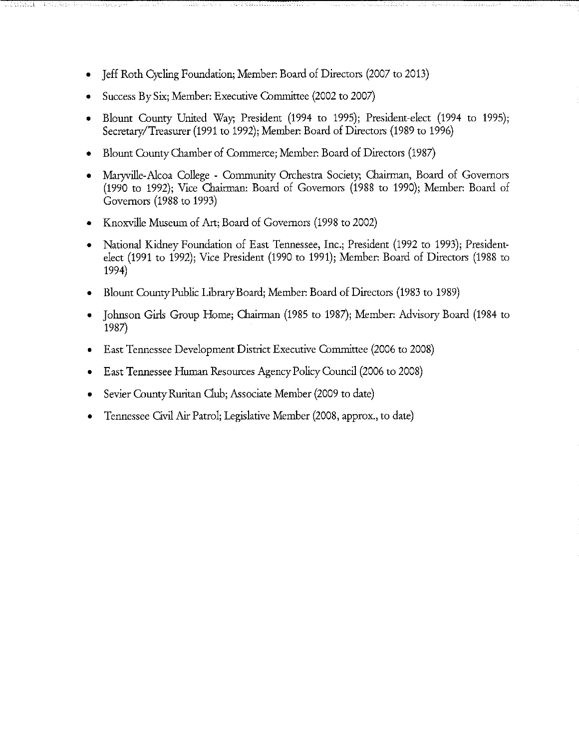- Jeff Roth Cycling Foundation; Member: Board of Directors (2007 to 2013)
- Success By Six; Member: Executive Committee (2002 to 2007)
- Blount County United Way, President (1994 to 1995); President-elect (1994 to 1995); Secretary/Treasurer (1991 to 1992); Member: Board of Directors (1989 to 1996)
- Blount County Chamber of Commerce; Member: Board of Directors (1987)
- Maryville-Alcoa College Community Orchestra Society; Chairman, Board of Governors (1990 to 1992); Vice Chairman: Board of Governors (1988 to 1990); Member: Board of Governors (1988 to 1993)
- Knoxville Museum of Art; Board of Governors (1998 to 2002)
- National Kidney Foundation of East Tennessee, Inc.; President (1992 to 1993); Presidentelect (1991 to 1992); Vice President (1990 to 1991); Member: Board of Directors (1988 to 1994)
- Blount County Public Library Board; Member: Board of Directors (1983 to 1989)
- Johnson Girls Group Home; Chairman (1985 to 1987); Member: Advisory Board (1984 to 1987)
- East Tennessee Development District Executive Committee (2006 to 2008)
- East Tennessee Human Resources Agency Policy Council (2006 to 2008)
- Sevier County Ruritan Club; Associate Member (2009 to date)
- Tennessee Civil Air Patrol; Legislative Member (2008, approx., to date)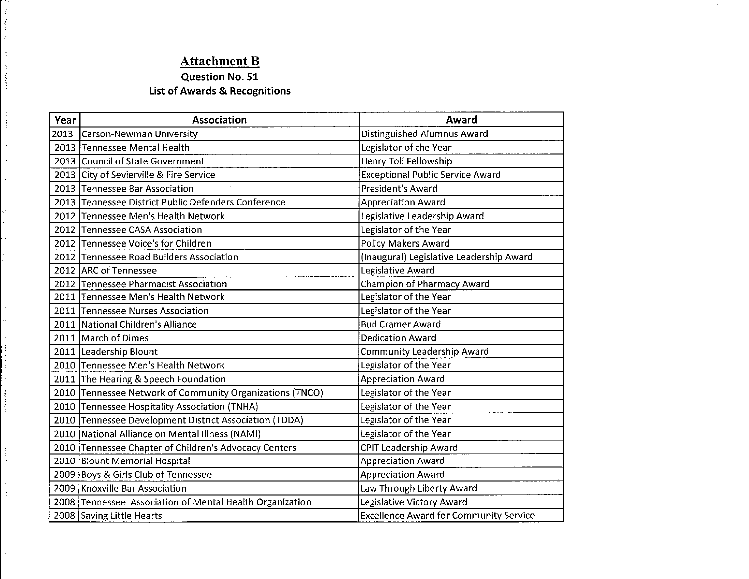### **Attachment B**

中国的海岸 "最高叫!"

计可变变换 计可变

anna. ķ. Ì. it.<br>S Í,

i<br>Santa

i<br>S 医神经的

### **Question No. 51 List of Awards & Recognitions**

| Year | <b>Association</b>                                       | Award                                         |
|------|----------------------------------------------------------|-----------------------------------------------|
| 2013 | Carson-Newman University                                 | Distinguished Alumnus Award                   |
|      | 2013 Tennessee Mental Health                             | Legislator of the Year                        |
|      | 2013 Council of State Government                         | Henry Toll Fellowship                         |
|      | 2013 City of Sevierville & Fire Service                  | <b>Exceptional Public Service Award</b>       |
|      | 2013 Tennessee Bar Association                           | <b>President's Award</b>                      |
|      | 2013 Tennessee District Public Defenders Conference      | <b>Appreciation Award</b>                     |
|      | 2012 Tennessee Men's Health Network                      | Legislative Leadership Award                  |
|      | 2012 Tennessee CASA Association                          | Legislator of the Year                        |
|      | 2012 Tennessee Voice's for Children                      | Policy Makers Award                           |
|      | 2012 Tennessee Road Builders Association                 | (Inaugural) Legislative Leadership Award      |
|      | 2012 ARC of Tennessee                                    | Legislative Award                             |
|      | 2012 Tennessee Pharmacist Association                    | <b>Champion of Pharmacy Award</b>             |
|      | 2011 Tennessee Men's Health Network                      | Legislator of the Year                        |
|      | 2011 Tennessee Nurses Association                        | Legislator of the Year                        |
|      | 2011 National Children's Alliance                        | <b>Bud Cramer Award</b>                       |
|      | 2011 March of Dimes                                      | <b>Dedication Award</b>                       |
|      | 2011 Leadership Blount                                   | <b>Community Leadership Award</b>             |
|      | 2010 Tennessee Men's Health Network                      | Legislator of the Year                        |
|      | 2011 The Hearing & Speech Foundation                     | <b>Appreciation Award</b>                     |
|      | 2010 Tennessee Network of Community Organizations (TNCO) | Legislator of the Year                        |
|      | 2010 Tennessee Hospitality Association (TNHA)            | Legislator of the Year                        |
|      | 2010   Tennessee Development District Association (TDDA) | Legislator of the Year                        |
|      | 2010 National Alliance on Mental Illness (NAMI)          | Legislator of the Year                        |
|      | 2010 Tennessee Chapter of Children's Advocacy Centers    | <b>CPIT Leadership Award</b>                  |
|      | 2010 Blount Memorial Hospital                            | <b>Appreciation Award</b>                     |
|      | 2009 Boys & Girls Club of Tennessee                      | <b>Appreciation Award</b>                     |
|      | 2009 Knoxville Bar Association                           | Law Through Liberty Award                     |
|      | 2008 Tennessee Association of Mental Health Organization | Legislative Victory Award                     |
|      | 2008 Saving Little Hearts                                | <b>Excellence Award for Community Service</b> |